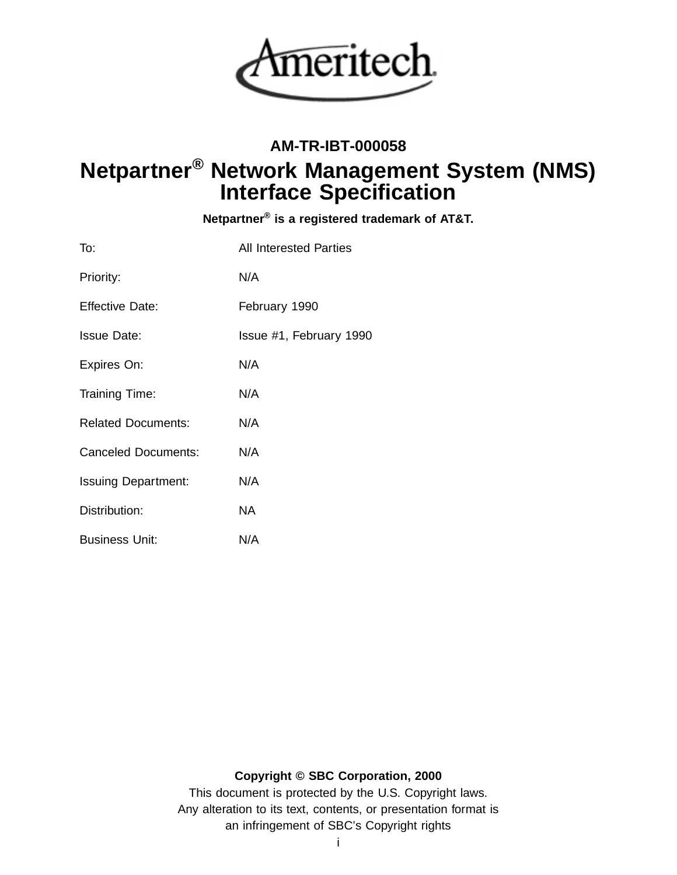

## **AM-TR-IBT-000058**

# **Netpartner® Network Management System (NMS) Interface Specification**

**Netpartner® is a registered trademark of AT&T.**

| To:                        | <b>All Interested Parties</b> |
|----------------------------|-------------------------------|
| Priority:                  | N/A                           |
| <b>Effective Date:</b>     | February 1990                 |
| <b>Issue Date:</b>         | Issue #1, February 1990       |
| Expires On:                | N/A                           |
| Training Time:             | N/A                           |
| <b>Related Documents:</b>  | N/A                           |
| <b>Canceled Documents:</b> | N/A                           |
| <b>Issuing Department:</b> | N/A                           |
| Distribution:              | NA.                           |
| <b>Business Unit:</b>      | N/A                           |

## **Copyright © SBC Corporation, 2000**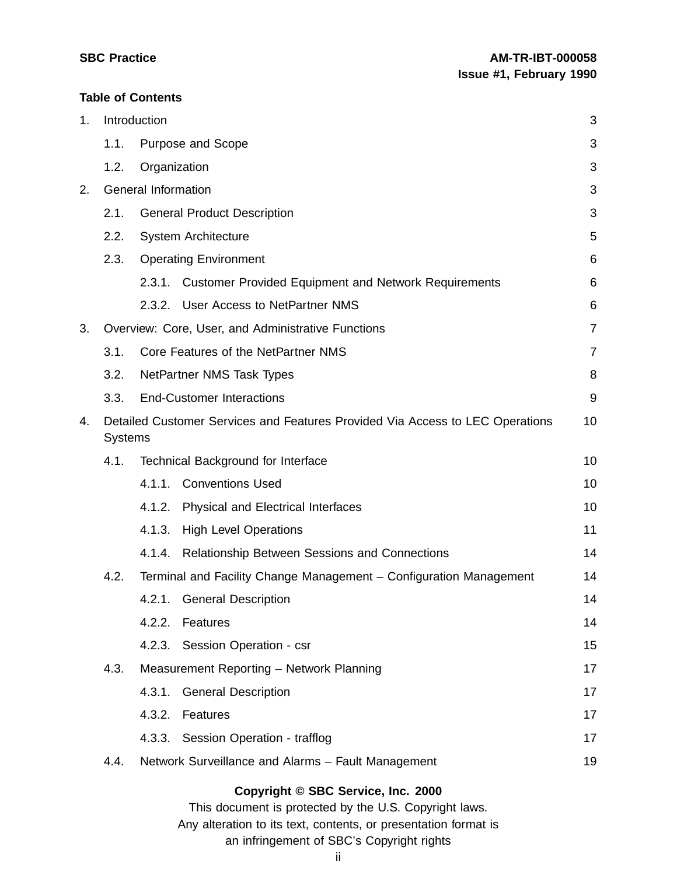## **Table of Contents**

| 1. |                                                    | Introduction                     |                                                                               | 3              |
|----|----------------------------------------------------|----------------------------------|-------------------------------------------------------------------------------|----------------|
|    | 1.1.                                               |                                  | Purpose and Scope                                                             | 3              |
|    | 1.2.                                               | Organization                     |                                                                               | 3              |
| 2. | <b>General Information</b>                         |                                  |                                                                               | 3              |
|    | 2.1.                                               |                                  | <b>General Product Description</b>                                            | 3              |
|    | 2.2.                                               | System Architecture              |                                                                               |                |
|    | 2.3.                                               | <b>Operating Environment</b>     |                                                                               | 6              |
|    |                                                    |                                  | 2.3.1. Customer Provided Equipment and Network Requirements                   | 6              |
|    |                                                    |                                  | 2.3.2. User Access to NetPartner NMS                                          | 6              |
| 3. | Overview: Core, User, and Administrative Functions |                                  |                                                                               | 7              |
|    | 3.1.                                               |                                  | Core Features of the NetPartner NMS                                           | $\overline{7}$ |
|    | 3.2.                                               | 8<br>NetPartner NMS Task Types   |                                                                               |                |
|    | 3.3.                                               | <b>End-Customer Interactions</b> |                                                                               | 9              |
| 4. | <b>Systems</b>                                     |                                  | Detailed Customer Services and Features Provided Via Access to LEC Operations | 10             |
|    | 4.1.                                               |                                  | Technical Background for Interface                                            | 10             |
|    |                                                    |                                  | 4.1.1. Conventions Used                                                       | 10             |
|    |                                                    | 4.1.2.                           | <b>Physical and Electrical Interfaces</b>                                     | 10             |
|    |                                                    | 4.1.3.                           | <b>High Level Operations</b>                                                  | 11             |
|    |                                                    | 4.1.4.                           | <b>Relationship Between Sessions and Connections</b>                          | 14             |
|    | 4.2.                                               |                                  | Terminal and Facility Change Management - Configuration Management            | 14             |
|    |                                                    |                                  | 4.2.1. General Description                                                    | 14             |
|    |                                                    | 4.2.2.                           | Features                                                                      | 14             |
|    |                                                    |                                  | 4.2.3. Session Operation - csr                                                | 15             |
|    | 4.3.                                               |                                  | Measurement Reporting - Network Planning                                      | 17             |
|    |                                                    | 4.3.1.                           | <b>General Description</b>                                                    | 17             |
|    |                                                    | 4.3.2.                           | Features                                                                      | 17             |
|    |                                                    |                                  | 4.3.3. Session Operation - trafflog                                           | 17             |
|    | 4.4.                                               |                                  | Network Surveillance and Alarms - Fault Management                            | 19             |
|    |                                                    |                                  |                                                                               |                |

## **Copyright © SBC Service, Inc. 2000**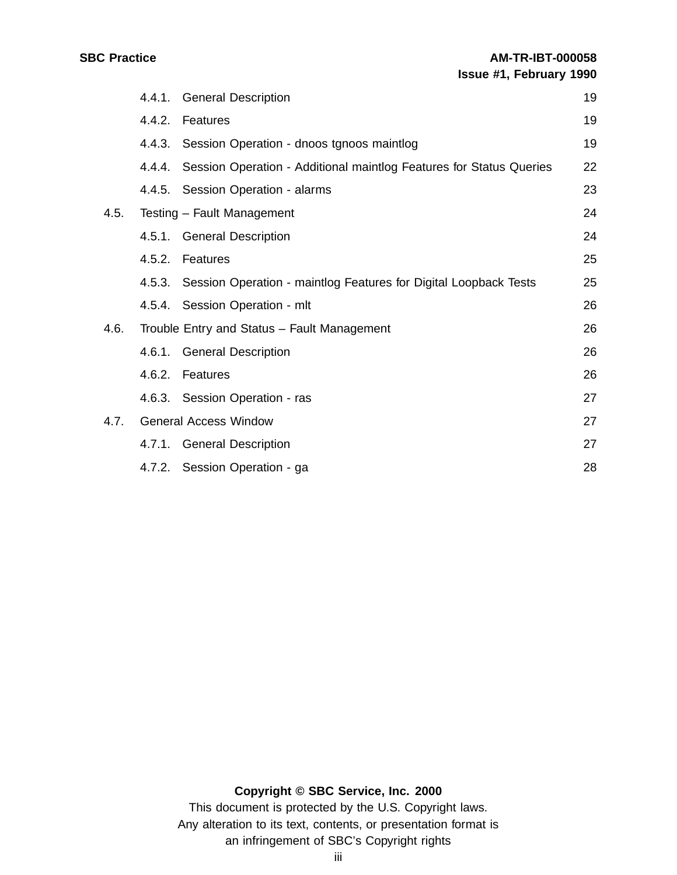|      |                              | 4.4.1. General Description                                                 | 19 |
|------|------------------------------|----------------------------------------------------------------------------|----|
|      |                              | 4.4.2. Features                                                            | 19 |
|      |                              | 4.4.3. Session Operation - dnoos tgnoos maintlog                           | 19 |
|      |                              | 4.4.4. Session Operation - Additional maintlog Features for Status Queries | 22 |
|      |                              | 4.4.5. Session Operation - alarms                                          | 23 |
| 4.5. |                              | Testing - Fault Management                                                 | 24 |
|      |                              | 4.5.1. General Description                                                 | 24 |
|      |                              | 4.5.2. Features                                                            | 25 |
|      |                              | 4.5.3. Session Operation - maintlog Features for Digital Loopback Tests    | 25 |
|      |                              | 4.5.4. Session Operation - mlt                                             | 26 |
| 4.6. |                              | Trouble Entry and Status - Fault Management                                | 26 |
|      |                              | 4.6.1. General Description                                                 | 26 |
|      |                              | 4.6.2. Features                                                            | 26 |
|      |                              | 4.6.3. Session Operation - ras                                             | 27 |
| 4.7. | <b>General Access Window</b> |                                                                            | 27 |
|      |                              | 4.7.1. General Description                                                 | 27 |
|      |                              | 4.7.2. Session Operation - ga                                              | 28 |

## **Copyright © SBC Service, Inc. 2000**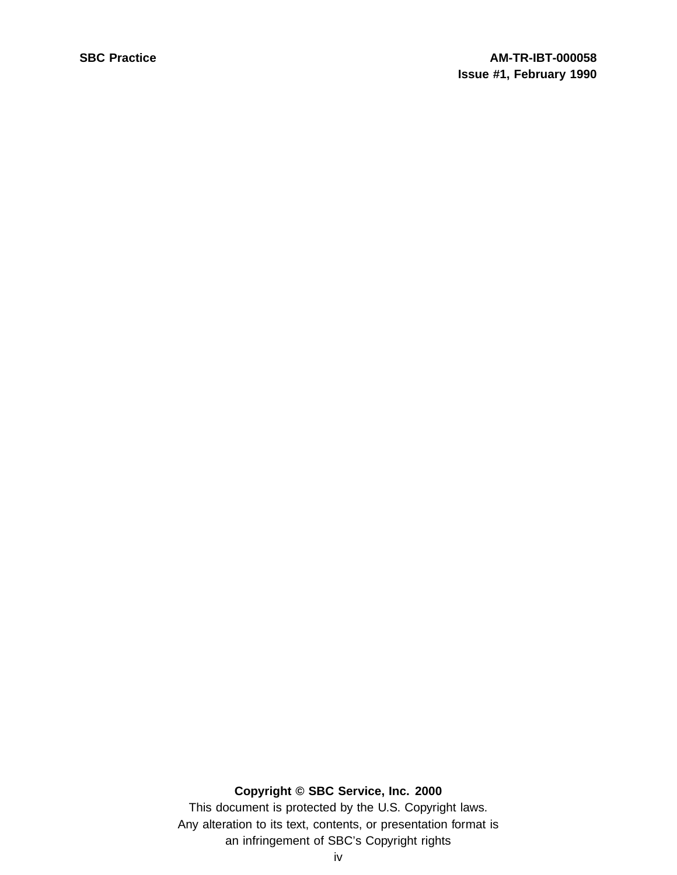## **Copyright © SBC Service, Inc. 2000**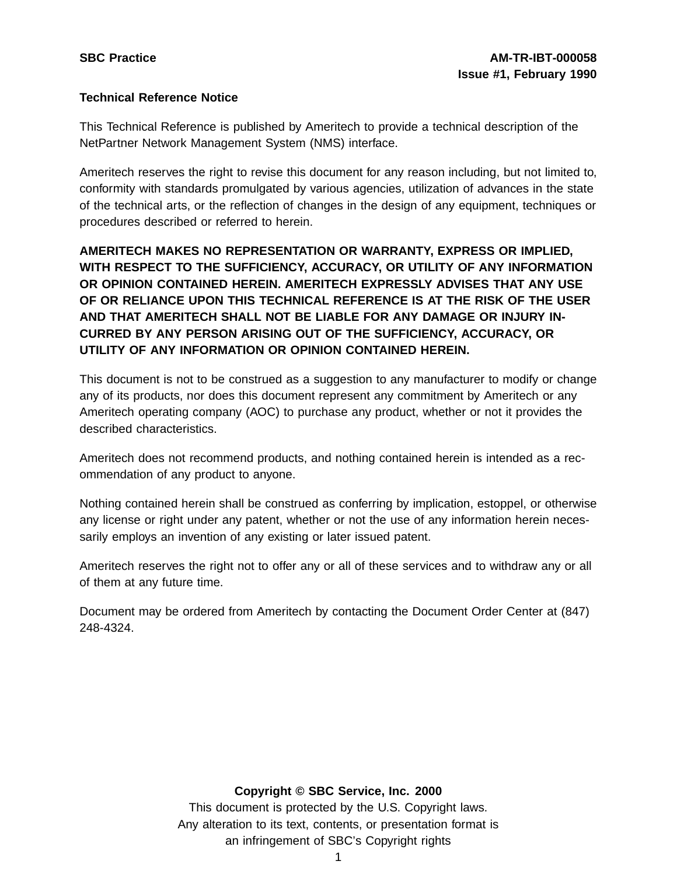## **Technical Reference Notice**

This Technical Reference is published by Ameritech to provide a technical description of the NetPartner Network Management System (NMS) interface.

Ameritech reserves the right to revise this document for any reason including, but not limited to, conformity with standards promulgated by various agencies, utilization of advances in the state of the technical arts, or the reflection of changes in the design of any equipment, techniques or procedures described or referred to herein.

**AMERITECH MAKES NO REPRESENTATION OR WARRANTY, EXPRESS OR IMPLIED, WITH RESPECT TO THE SUFFICIENCY, ACCURACY, OR UTILITY OF ANY INFORMATION OR OPINION CONTAINED HEREIN. AMERITECH EXPRESSLY ADVISES THAT ANY USE OF OR RELIANCE UPON THIS TECHNICAL REFERENCE IS AT THE RISK OF THE USER AND THAT AMERITECH SHALL NOT BE LIABLE FOR ANY DAMAGE OR INJURY IN-CURRED BY ANY PERSON ARISING OUT OF THE SUFFICIENCY, ACCURACY, OR UTILITY OF ANY INFORMATION OR OPINION CONTAINED HEREIN.**

This document is not to be construed as a suggestion to any manufacturer to modify or change any of its products, nor does this document represent any commitment by Ameritech or any Ameritech operating company (AOC) to purchase any product, whether or not it provides the described characteristics.

Ameritech does not recommend products, and nothing contained herein is intended as a recommendation of any product to anyone.

Nothing contained herein shall be construed as conferring by implication, estoppel, or otherwise any license or right under any patent, whether or not the use of any information herein necessarily employs an invention of any existing or later issued patent.

Ameritech reserves the right not to offer any or all of these services and to withdraw any or all of them at any future time.

Document may be ordered from Ameritech by contacting the Document Order Center at (847) 248-4324.

## **Copyright © SBC Service, Inc. 2000**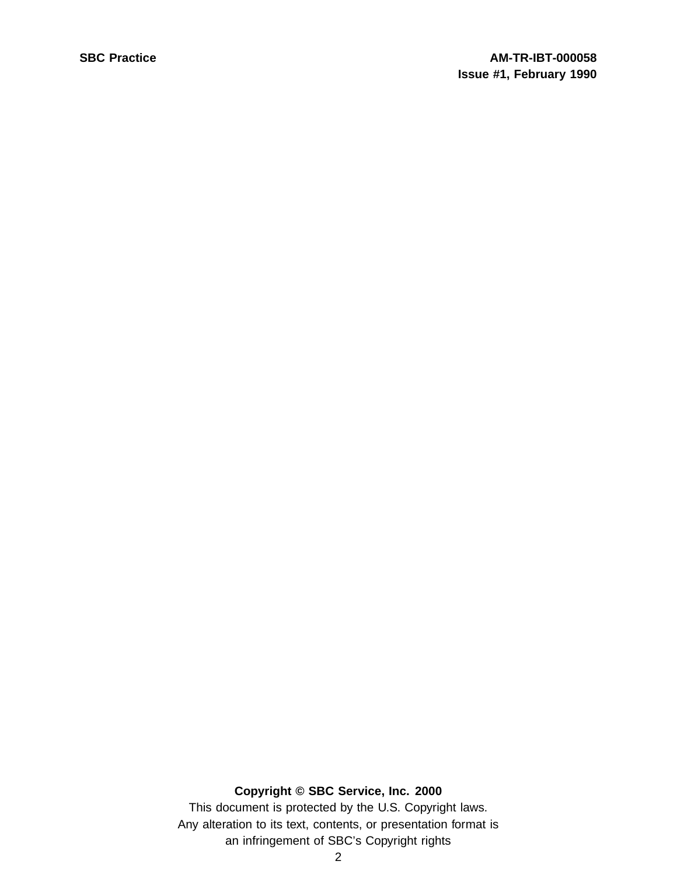## **Copyright © SBC Service, Inc. 2000**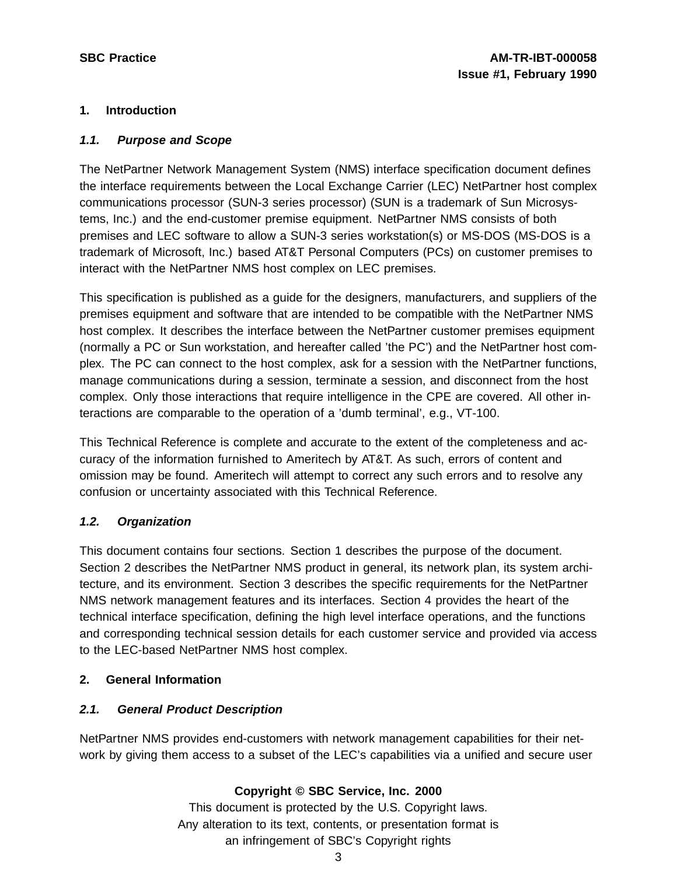## **1. Introduction**

## **1.1. Purpose and Scope**

The NetPartner Network Management System (NMS) interface specification document defines the interface requirements between the Local Exchange Carrier (LEC) NetPartner host complex communications processor (SUN-3 series processor) (SUN is a trademark of Sun Microsystems, Inc.) and the end-customer premise equipment. NetPartner NMS consists of both premises and LEC software to allow a SUN-3 series workstation(s) or MS-DOS (MS-DOS is a trademark of Microsoft, Inc.) based AT&T Personal Computers (PCs) on customer premises to interact with the NetPartner NMS host complex on LEC premises.

This specification is published as a guide for the designers, manufacturers, and suppliers of the premises equipment and software that are intended to be compatible with the NetPartner NMS host complex. It describes the interface between the NetPartner customer premises equipment (normally a PC or Sun workstation, and hereafter called 'the PC') and the NetPartner host complex. The PC can connect to the host complex, ask for a session with the NetPartner functions, manage communications during a session, terminate a session, and disconnect from the host complex. Only those interactions that require intelligence in the CPE are covered. All other interactions are comparable to the operation of a 'dumb terminal', e.g., VT-100.

This Technical Reference is complete and accurate to the extent of the completeness and accuracy of the information furnished to Ameritech by AT&T. As such, errors of content and omission may be found. Ameritech will attempt to correct any such errors and to resolve any confusion or uncertainty associated with this Technical Reference.

## **1.2. Organization**

This document contains four sections. Section 1 describes the purpose of the document. Section 2 describes the NetPartner NMS product in general, its network plan, its system architecture, and its environment. Section 3 describes the specific requirements for the NetPartner NMS network management features and its interfaces. Section 4 provides the heart of the technical interface specification, defining the high level interface operations, and the functions and corresponding technical session details for each customer service and provided via access to the LEC-based NetPartner NMS host complex.

## **2. General Information**

## **2.1. General Product Description**

NetPartner NMS provides end-customers with network management capabilities for their network by giving them access to a subset of the LEC's capabilities via a unified and secure user

## **Copyright © SBC Service, Inc. 2000**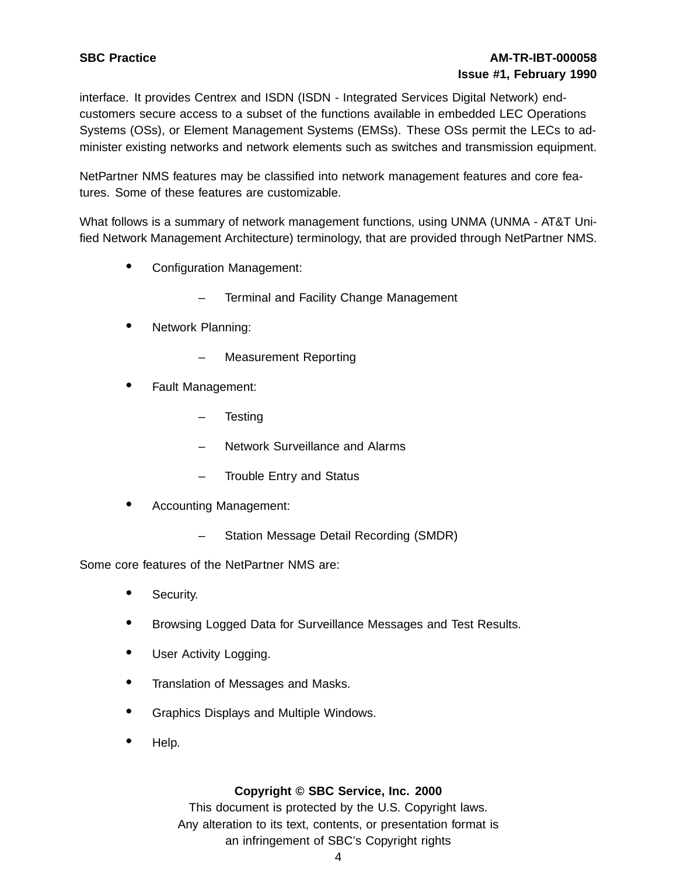## **SBC Practice AM-TR-IBT-000058 Issue #1, February 1990**

interface. It provides Centrex and ISDN (ISDN - Integrated Services Digital Network) endcustomers secure access to a subset of the functions available in embedded LEC Operations Systems (OSs), or Element Management Systems (EMSs). These OSs permit the LECs to administer existing networks and network elements such as switches and transmission equipment.

NetPartner NMS features may be classified into network management features and core features. Some of these features are customizable.

What follows is a summary of network management functions, using UNMA (UNMA - AT&T Unified Network Management Architecture) terminology, that are provided through NetPartner NMS.

- Configuration Management:
	- Terminal and Facility Change Management
- Network Planning:
	- Measurement Reporting
- Fault Management:
	- **Testing**
	- Network Surveillance and Alarms
	- Trouble Entry and Status
- Accounting Management:
	- Station Message Detail Recording (SMDR)

Some core features of the NetPartner NMS are:

- Security.
- Browsing Logged Data for Surveillance Messages and Test Results.
- User Activity Logging.
- **•** Translation of Messages and Masks.
- Graphics Displays and Multiple Windows.
- Help.

## **Copyright © SBC Service, Inc. 2000**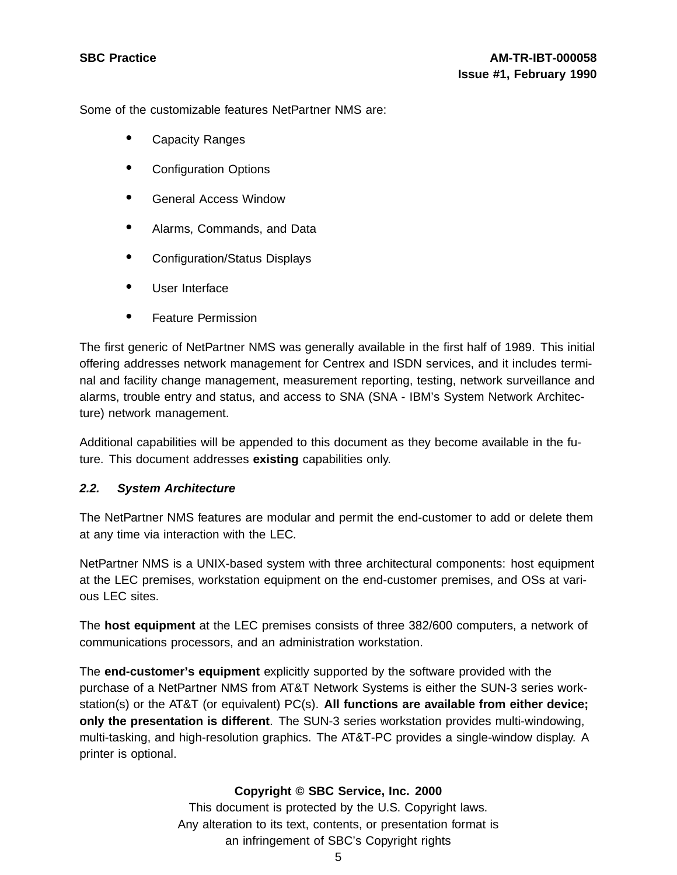Some of the customizable features NetPartner NMS are:

- Capacity Ranges
- Configuration Options
- General Access Window
- Alarms, Commands, and Data
- Configuration/Status Displays
- User Interface
- Feature Permission

The first generic of NetPartner NMS was generally available in the first half of 1989. This initial offering addresses network management for Centrex and ISDN services, and it includes terminal and facility change management, measurement reporting, testing, network surveillance and alarms, trouble entry and status, and access to SNA (SNA - IBM's System Network Architecture) network management.

Additional capabilities will be appended to this document as they become available in the future. This document addresses **existing** capabilities only.

## **2.2. System Architecture**

The NetPartner NMS features are modular and permit the end-customer to add or delete them at any time via interaction with the LEC.

NetPartner NMS is a UNIX-based system with three architectural components: host equipment at the LEC premises, workstation equipment on the end-customer premises, and OSs at various LEC sites.

The **host equipment** at the LEC premises consists of three 382/600 computers, a network of communications processors, and an administration workstation.

The **end-customer's equipment** explicitly supported by the software provided with the purchase of a NetPartner NMS from AT&T Network Systems is either the SUN-3 series workstation(s) or the AT&T (or equivalent) PC(s). **All functions are available from either device; only the presentation is different**. The SUN-3 series workstation provides multi-windowing, multi-tasking, and high-resolution graphics. The AT&T-PC provides a single-window display. A printer is optional.

## **Copyright © SBC Service, Inc. 2000**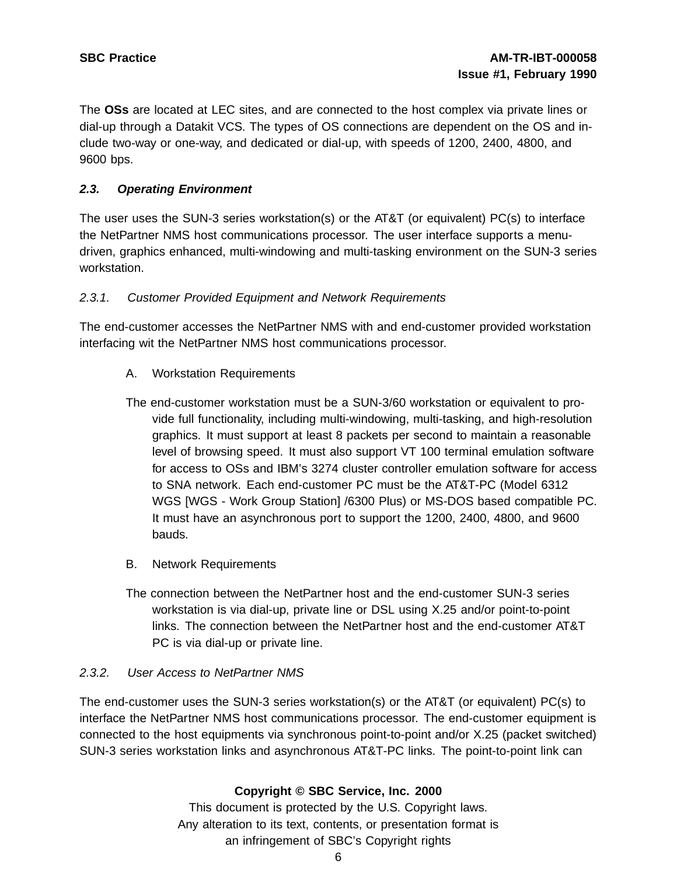The **OSs** are located at LEC sites, and are connected to the host complex via private lines or dial-up through a Datakit VCS. The types of OS connections are dependent on the OS and include two-way or one-way, and dedicated or dial-up, with speeds of 1200, 2400, 4800, and 9600 bps.

## **2.3. Operating Environment**

The user uses the SUN-3 series workstation(s) or the AT&T (or equivalent) PC(s) to interface the NetPartner NMS host communications processor. The user interface supports a menudriven, graphics enhanced, multi-windowing and multi-tasking environment on the SUN-3 series workstation.

## 2.3.1. Customer Provided Equipment and Network Requirements

The end-customer accesses the NetPartner NMS with and end-customer provided workstation interfacing wit the NetPartner NMS host communications processor.

- A. Workstation Requirements
- The end-customer workstation must be a SUN-3/60 workstation or equivalent to provide full functionality, including multi-windowing, multi-tasking, and high-resolution graphics. It must support at least 8 packets per second to maintain a reasonable level of browsing speed. It must also support VT 100 terminal emulation software for access to OSs and IBM's 3274 cluster controller emulation software for access to SNA network. Each end-customer PC must be the AT&T-PC (Model 6312 WGS [WGS - Work Group Station] /6300 Plus) or MS-DOS based compatible PC. It must have an asynchronous port to support the 1200, 2400, 4800, and 9600 bauds.
- B. Network Requirements
- The connection between the NetPartner host and the end-customer SUN-3 series workstation is via dial-up, private line or DSL using X.25 and/or point-to-point links. The connection between the NetPartner host and the end-customer AT&T PC is via dial-up or private line.

#### 2.3.2. User Access to NetPartner NMS

The end-customer uses the SUN-3 series workstation(s) or the AT&T (or equivalent) PC(s) to interface the NetPartner NMS host communications processor. The end-customer equipment is connected to the host equipments via synchronous point-to-point and/or X.25 (packet switched) SUN-3 series workstation links and asynchronous AT&T-PC links. The point-to-point link can

## **Copyright © SBC Service, Inc. 2000**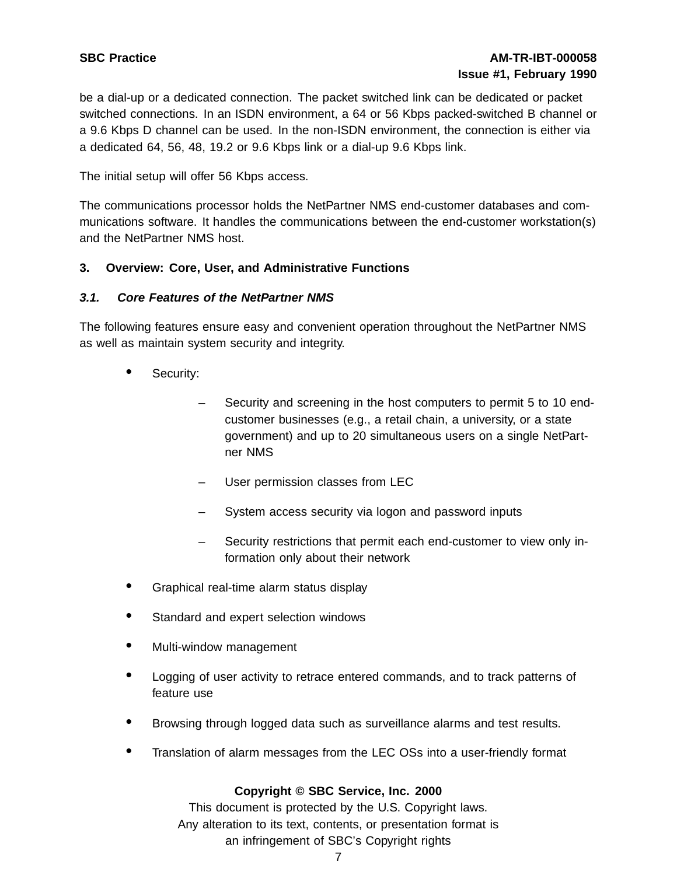## **SBC Practice AM-TR-IBT-000058 Issue #1, February 1990**

be a dial-up or a dedicated connection. The packet switched link can be dedicated or packet switched connections. In an ISDN environment, a 64 or 56 Kbps packed-switched B channel or a 9.6 Kbps D channel can be used. In the non-ISDN environment, the connection is either via a dedicated 64, 56, 48, 19.2 or 9.6 Kbps link or a dial-up 9.6 Kbps link.

The initial setup will offer 56 Kbps access.

The communications processor holds the NetPartner NMS end-customer databases and communications software. It handles the communications between the end-customer workstation(s) and the NetPartner NMS host.

## **3. Overview: Core, User, and Administrative Functions**

## **3.1. Core Features of the NetPartner NMS**

The following features ensure easy and convenient operation throughout the NetPartner NMS as well as maintain system security and integrity.

- Security:
	- Security and screening in the host computers to permit 5 to 10 endcustomer businesses (e.g., a retail chain, a university, or a state government) and up to 20 simultaneous users on a single NetPartner NMS
	- User permission classes from LEC
	- System access security via logon and password inputs
	- Security restrictions that permit each end-customer to view only information only about their network
- Graphical real-time alarm status display
- Standard and expert selection windows
- Multi-window management
- Logging of user activity to retrace entered commands, and to track patterns of feature use
- Browsing through logged data such as surveillance alarms and test results.
- Translation of alarm messages from the LEC OSs into <sup>a</sup> user-friendly format

## **Copyright © SBC Service, Inc. 2000**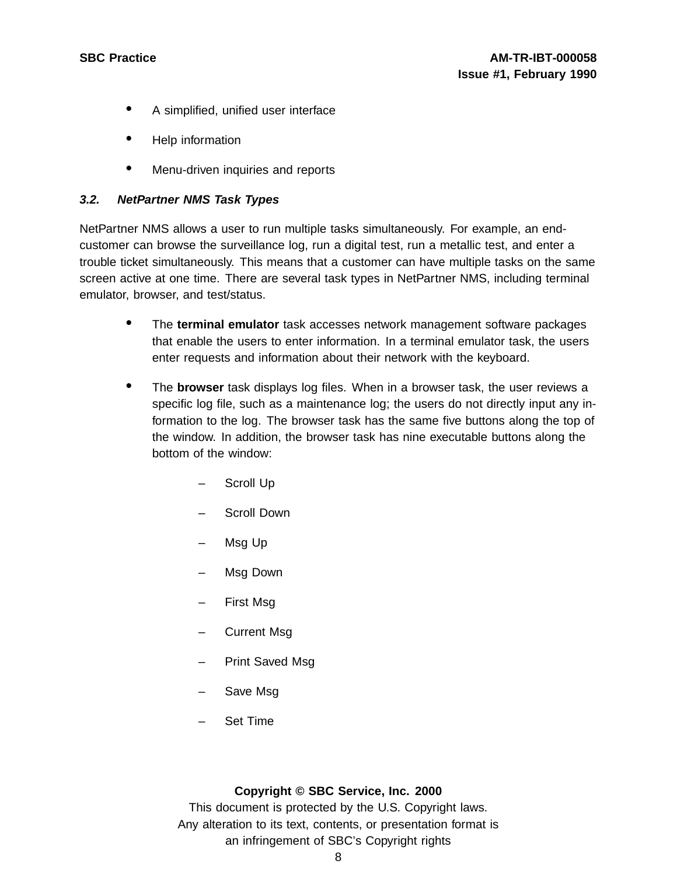- <sup>A</sup> simplified, unified user interface
- Help information
- Menu-driven inquiries and reports

#### **3.2. NetPartner NMS Task Types**

NetPartner NMS allows a user to run multiple tasks simultaneously. For example, an endcustomer can browse the surveillance log, run a digital test, run a metallic test, and enter a trouble ticket simultaneously. This means that a customer can have multiple tasks on the same screen active at one time. There are several task types in NetPartner NMS, including terminal emulator, browser, and test/status.

- The **terminal emulator** task accesses network management software packages that enable the users to enter information. In a terminal emulator task, the users enter requests and information about their network with the keyboard.
- The **browser** task displays log files. When in <sup>a</sup> browser task, the user reviews <sup>a</sup> specific log file, such as a maintenance log; the users do not directly input any information to the log. The browser task has the same five buttons along the top of the window. In addition, the browser task has nine executable buttons along the bottom of the window:
	- Scroll Up
	- Scroll Down
	- Msg Up
	- Msg Down
	- First Msg
	- Current Msg
	- Print Saved Msg
	- Save Msg
	- Set Time

#### **Copyright © SBC Service, Inc. 2000**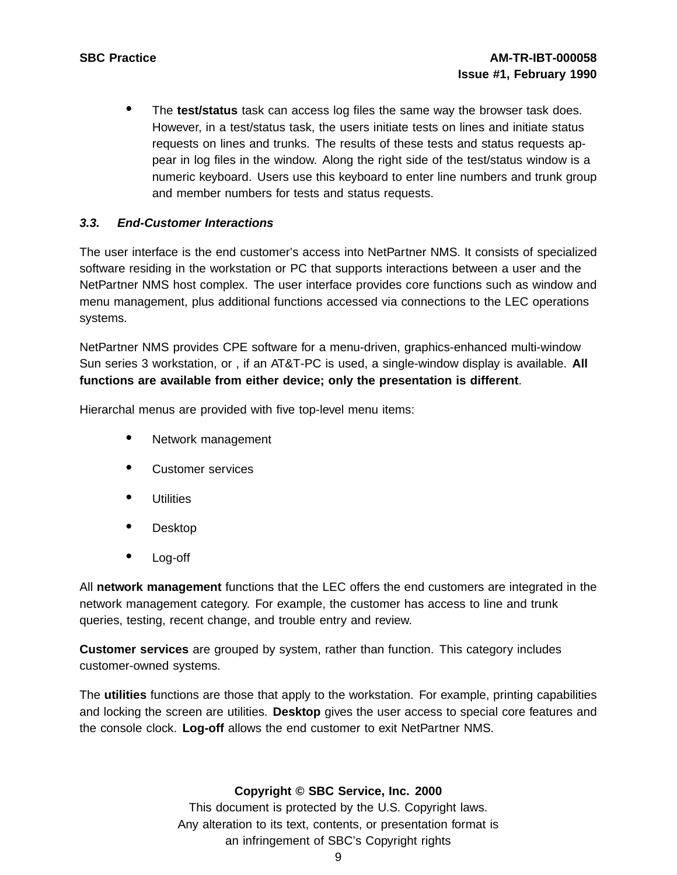• The **test/status** task can access log files the same way the browser task does. However, in a test/status task, the users initiate tests on lines and initiate status requests on lines and trunks. The results of these tests and status requests appear in log files in the window. Along the right side of the test/status window is a numeric keyboard. Users use this keyboard to enter line numbers and trunk group and member numbers for tests and status requests.

## **3.3. End-Customer Interactions**

The user interface is the end customer's access into NetPartner NMS. It consists of specialized software residing in the workstation or PC that supports interactions between a user and the NetPartner NMS host complex. The user interface provides core functions such as window and menu management, plus additional functions accessed via connections to the LEC operations systems.

NetPartner NMS provides CPE software for a menu-driven, graphics-enhanced multi-window Sun series 3 workstation, or , if an AT&T-PC is used, a single-window display is available. **All functions are available from either device; only the presentation is different**.

Hierarchal menus are provided with five top-level menu items:

- Network management
- Customer services
- Utilities
- Desktop
- Log-off

All **network management** functions that the LEC offers the end customers are integrated in the network management category. For example, the customer has access to line and trunk queries, testing, recent change, and trouble entry and review.

**Customer services** are grouped by system, rather than function. This category includes customer-owned systems.

The **utilities** functions are those that apply to the workstation. For example, printing capabilities and locking the screen are utilities. **Desktop** gives the user access to special core features and the console clock. **Log-off** allows the end customer to exit NetPartner NMS.

## **Copyright © SBC Service, Inc. 2000**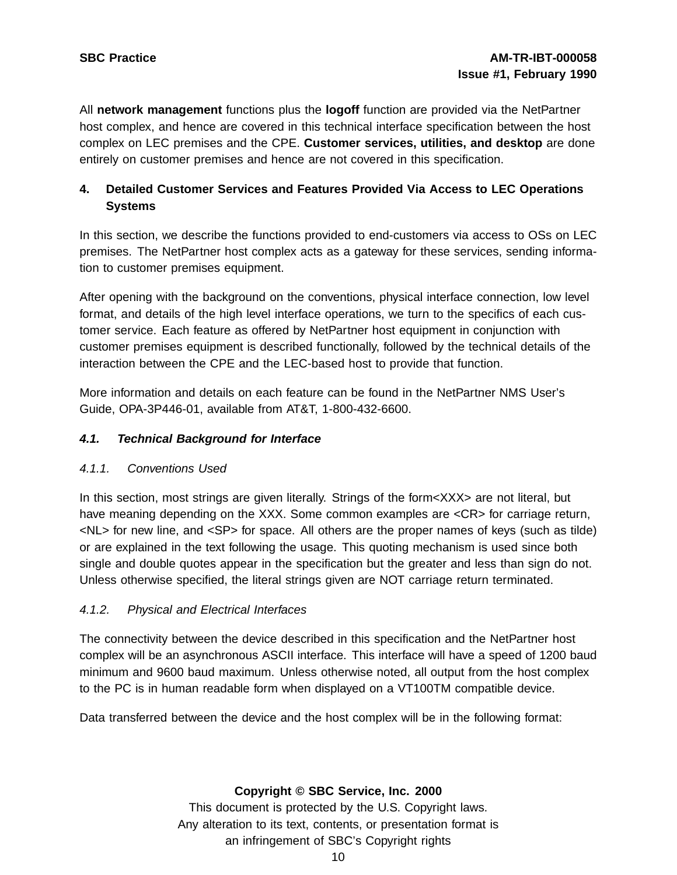All **network management** functions plus the **logoff** function are provided via the NetPartner host complex, and hence are covered in this technical interface specification between the host complex on LEC premises and the CPE. **Customer services, utilities, and desktop** are done entirely on customer premises and hence are not covered in this specification.

## **4. Detailed Customer Services and Features Provided Via Access to LEC Operations Systems**

In this section, we describe the functions provided to end-customers via access to OSs on LEC premises. The NetPartner host complex acts as a gateway for these services, sending information to customer premises equipment.

After opening with the background on the conventions, physical interface connection, low level format, and details of the high level interface operations, we turn to the specifics of each customer service. Each feature as offered by NetPartner host equipment in conjunction with customer premises equipment is described functionally, followed by the technical details of the interaction between the CPE and the LEC-based host to provide that function.

More information and details on each feature can be found in the NetPartner NMS User's Guide, OPA-3P446-01, available from AT&T, 1-800-432-6600.

## **4.1. Technical Background for Interface**

## 4.1.1. Conventions Used

In this section, most strings are given literally. Strings of the form<XXX> are not literal, but have meaning depending on the XXX. Some common examples are <CR> for carriage return, <NL> for new line, and <SP> for space. All others are the proper names of keys (such as tilde) or are explained in the text following the usage. This quoting mechanism is used since both single and double quotes appear in the specification but the greater and less than sign do not. Unless otherwise specified, the literal strings given are NOT carriage return terminated.

## 4.1.2. Physical and Electrical Interfaces

The connectivity between the device described in this specification and the NetPartner host complex will be an asynchronous ASCII interface. This interface will have a speed of 1200 baud minimum and 9600 baud maximum. Unless otherwise noted, all output from the host complex to the PC is in human readable form when displayed on a VT100TM compatible device.

Data transferred between the device and the host complex will be in the following format:

**Copyright © SBC Service, Inc. 2000**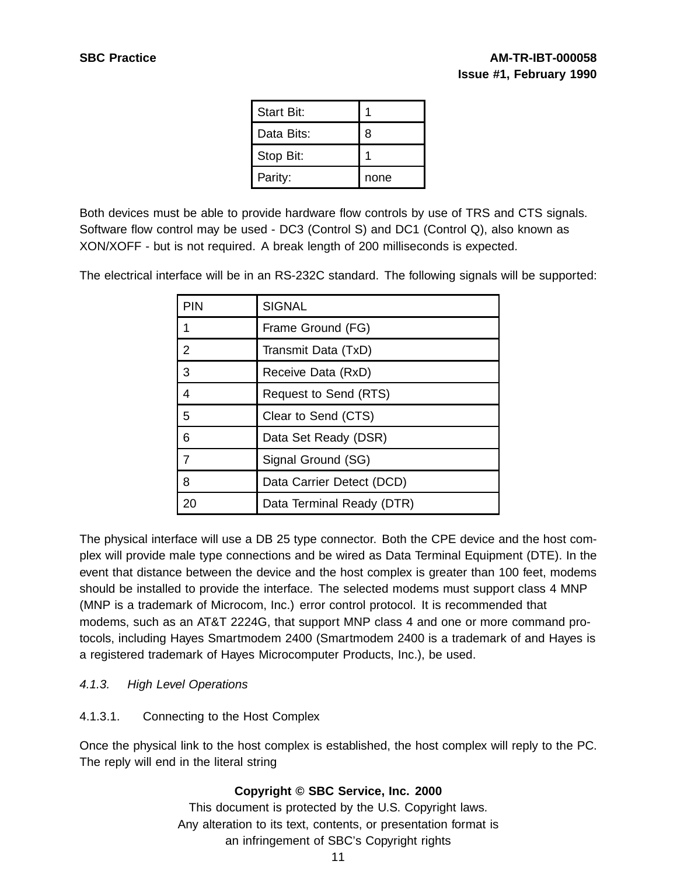| <b>Start Bit:</b> |      |
|-------------------|------|
| Data Bits:        | 8    |
| Stop Bit:         |      |
| Parity:           | none |

Both devices must be able to provide hardware flow controls by use of TRS and CTS signals. Software flow control may be used - DC3 (Control S) and DC1 (Control Q), also known as XON/XOFF - but is not required. A break length of 200 milliseconds is expected.

The electrical interface will be in an RS-232C standard. The following signals will be supported:

| PIN            | <b>SIGNAL</b>             |
|----------------|---------------------------|
| 1              | Frame Ground (FG)         |
| $\overline{2}$ | Transmit Data (TxD)       |
| 3              | Receive Data (RxD)        |
| 4              | Request to Send (RTS)     |
| 5              | Clear to Send (CTS)       |
| 6              | Data Set Ready (DSR)      |
| 7              | Signal Ground (SG)        |
| 8              | Data Carrier Detect (DCD) |
| 20             | Data Terminal Ready (DTR) |

The physical interface will use a DB 25 type connector. Both the CPE device and the host complex will provide male type connections and be wired as Data Terminal Equipment (DTE). In the event that distance between the device and the host complex is greater than 100 feet, modems should be installed to provide the interface. The selected modems must support class 4 MNP (MNP is a trademark of Microcom, Inc.) error control protocol. It is recommended that modems, such as an AT&T 2224G, that support MNP class 4 and one or more command protocols, including Hayes Smartmodem 2400 (Smartmodem 2400 is a trademark of and Hayes is a registered trademark of Hayes Microcomputer Products, Inc.), be used.

## 4.1.3. High Level Operations

## 4.1.3.1. Connecting to the Host Complex

Once the physical link to the host complex is established, the host complex will reply to the PC. The reply will end in the literal string

## **Copyright © SBC Service, Inc. 2000**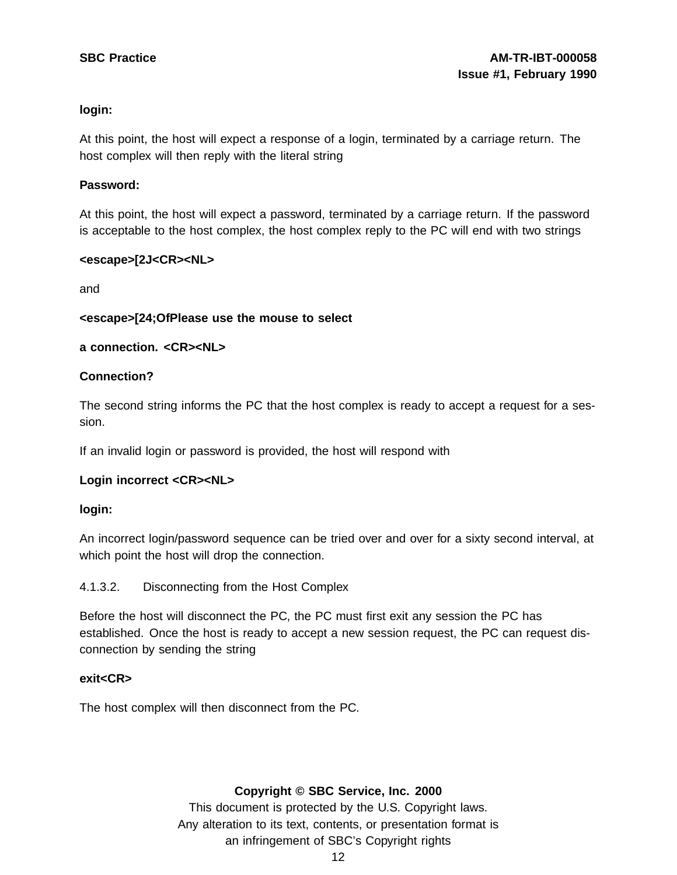#### **login:**

At this point, the host will expect a response of a login, terminated by a carriage return. The host complex will then reply with the literal string

#### **Password:**

At this point, the host will expect a password, terminated by a carriage return. If the password is acceptable to the host complex, the host complex reply to the PC will end with two strings

#### **<escape>[2J<CR><NL>**

and

#### **<escape>[24;OfPlease use the mouse to select**

**a connection. <CR><NL>**

#### **Connection?**

The second string informs the PC that the host complex is ready to accept a request for a session.

If an invalid login or password is provided, the host will respond with

## **Login incorrect <CR><NL>**

**login:**

An incorrect login/password sequence can be tried over and over for a sixty second interval, at which point the host will drop the connection.

## 4.1.3.2. Disconnecting from the Host Complex

Before the host will disconnect the PC, the PC must first exit any session the PC has established. Once the host is ready to accept a new session request, the PC can request disconnection by sending the string

#### **exit<CR>**

The host complex will then disconnect from the PC.

## **Copyright © SBC Service, Inc. 2000**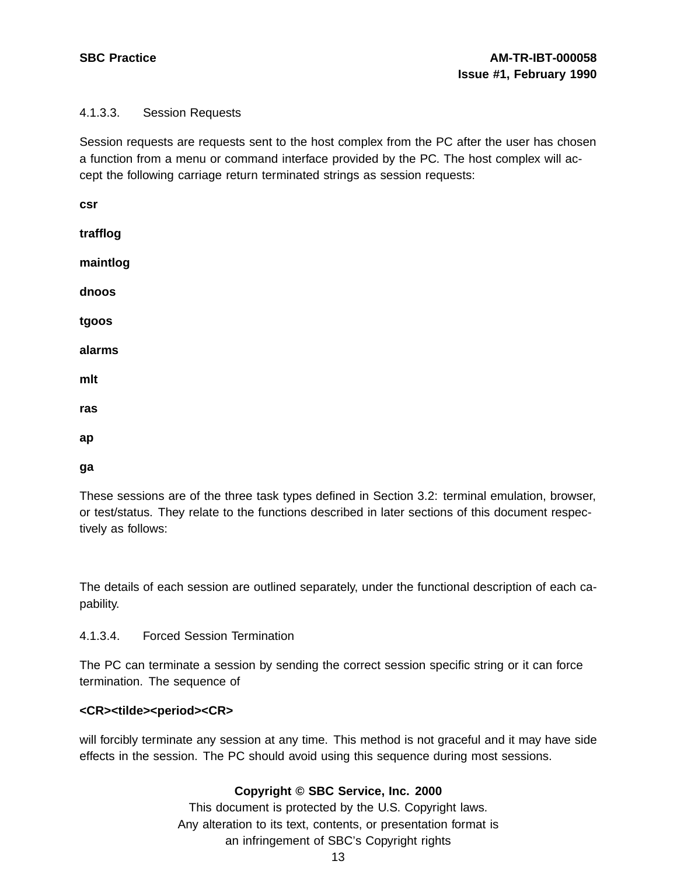## 4.1.3.3. Session Requests

Session requests are requests sent to the host complex from the PC after the user has chosen a function from a menu or command interface provided by the PC. The host complex will accept the following carriage return terminated strings as session requests:

**csr trafflog maintlog dnoos tgoos alarms mlt ras ap**

**ga**

These sessions are of the three task types defined in Section 3.2: terminal emulation, browser, or test/status. They relate to the functions described in later sections of this document respectively as follows:

The details of each session are outlined separately, under the functional description of each capability.

## 4.1.3.4. Forced Session Termination

The PC can terminate a session by sending the correct session specific string or it can force termination. The sequence of

## <**CR><tilde><period><CR>**

will forcibly terminate any session at any time. This method is not graceful and it may have side effects in the session. The PC should avoid using this sequence during most sessions.

## **Copyright © SBC Service, Inc. 2000**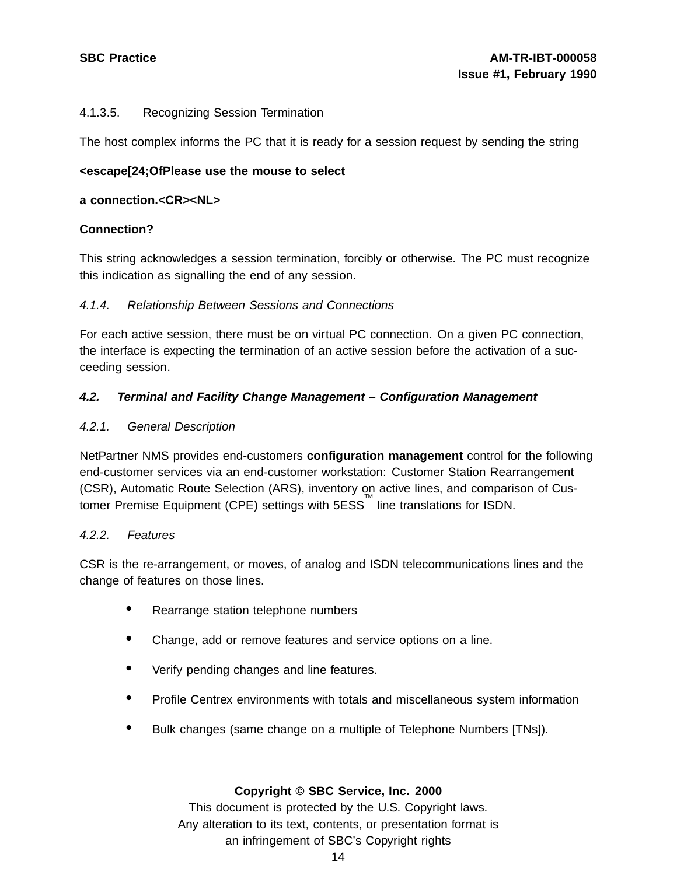## 4.1.3.5. Recognizing Session Termination

The host complex informs the PC that it is ready for a session request by sending the string

## **<escape[24;OfPlease use the mouse to select**

#### **a connection.<CR><NL>**

## **Connection?**

This string acknowledges a session termination, forcibly or otherwise. The PC must recognize this indication as signalling the end of any session.

## 4.1.4. Relationship Between Sessions and Connections

For each active session, there must be on virtual PC connection. On a given PC connection, the interface is expecting the termination of an active session before the activation of a succeeding session.

## **4.2. Terminal and Facility Change Management – Configuration Management**

## 4.2.1. General Description

NetPartner NMS provides end-customers **configuration management** control for the following end-customer services via an end-customer workstation: Customer Station Rearrangement (CSR), Automatic Route Selection (ARS), inventory on active lines, and comparison of Customer Premise Equipment (CPE) settings with 5ESS line translations for ISDN.

#### 4.2.2. Features

CSR is the re-arrangement, or moves, of analog and ISDN telecommunications lines and the change of features on those lines.

- Rearrange station telephone numbers
- Change, add or remove features and service options on <sup>a</sup> line.
- Verify pending changes and line features.
- Profile Centrex environments with totals and miscellaneous system information
- Bulk changes (same change on <sup>a</sup> multiple of Telephone Numbers [TNs]).

## **Copyright © SBC Service, Inc. 2000**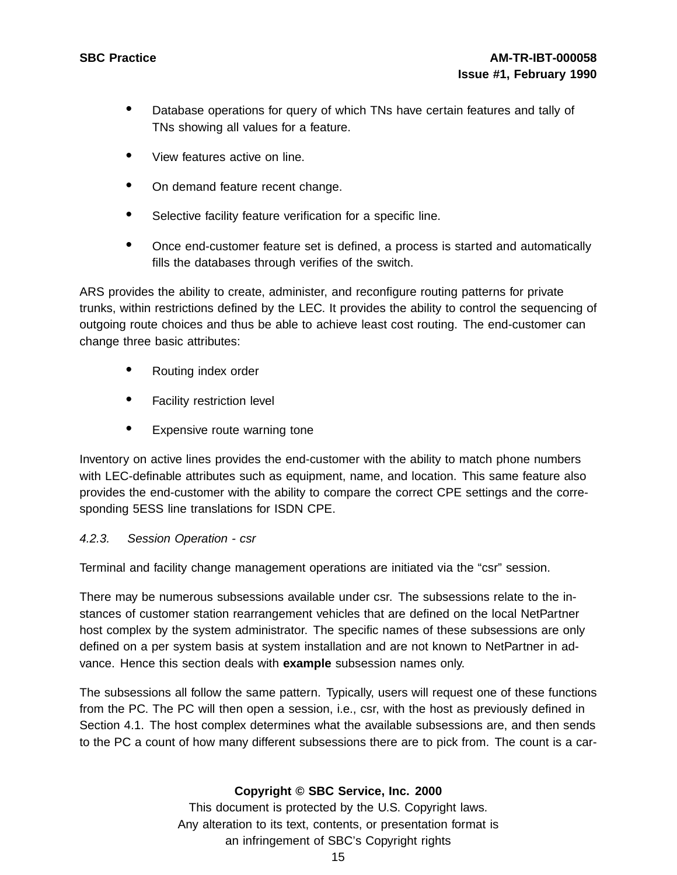- Database operations for query of which TNs have certain features and tally of TNs showing all values for a feature.
- View features active on line.
- On demand feature recent change.
- Selective facility feature verification for <sup>a</sup> specific line.
- Once end-customer feature set is defined, a process is started and automatically fills the databases through verifies of the switch.

ARS provides the ability to create, administer, and reconfigure routing patterns for private trunks, within restrictions defined by the LEC. It provides the ability to control the sequencing of outgoing route choices and thus be able to achieve least cost routing. The end-customer can change three basic attributes:

- Routing index order
- Facility restriction level
- Expensive route warning tone

Inventory on active lines provides the end-customer with the ability to match phone numbers with LEC-definable attributes such as equipment, name, and location. This same feature also provides the end-customer with the ability to compare the correct CPE settings and the corresponding 5ESS line translations for ISDN CPE.

## 4.2.3. Session Operation - csr

Terminal and facility change management operations are initiated via the "csr" session.

There may be numerous subsessions available under csr. The subsessions relate to the instances of customer station rearrangement vehicles that are defined on the local NetPartner host complex by the system administrator. The specific names of these subsessions are only defined on a per system basis at system installation and are not known to NetPartner in advance. Hence this section deals with **example** subsession names only.

The subsessions all follow the same pattern. Typically, users will request one of these functions from the PC. The PC will then open a session, i.e., csr, with the host as previously defined in Section 4.1. The host complex determines what the available subsessions are, and then sends to the PC a count of how many different subsessions there are to pick from. The count is a car-

## **Copyright © SBC Service, Inc. 2000**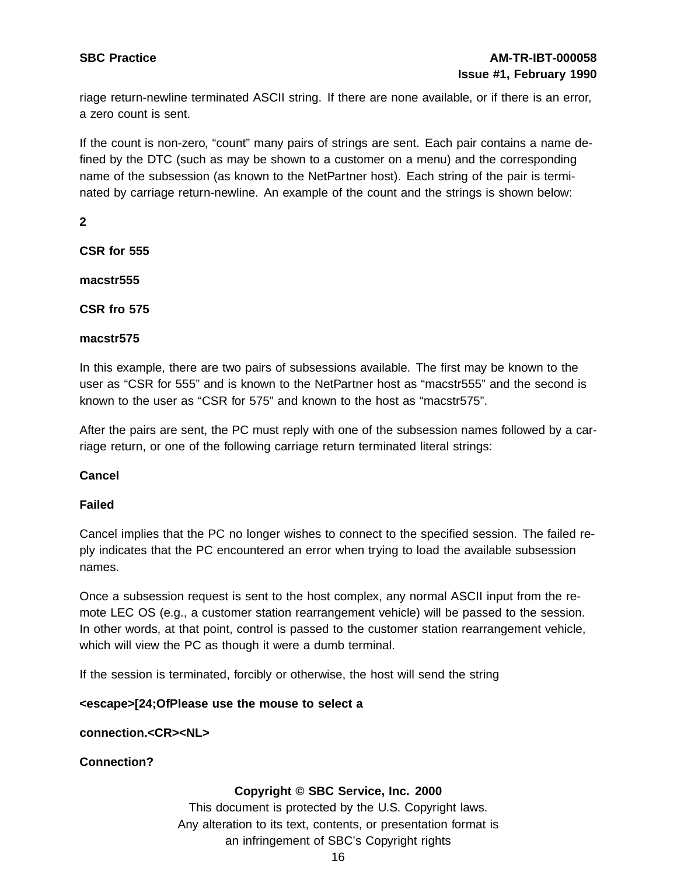riage return-newline terminated ASCII string. If there are none available, or if there is an error, a zero count is sent.

If the count is non-zero, "count" many pairs of strings are sent. Each pair contains a name defined by the DTC (such as may be shown to a customer on a menu) and the corresponding name of the subsession (as known to the NetPartner host). Each string of the pair is terminated by carriage return-newline. An example of the count and the strings is shown below:

**2**

**CSR for 555**

**macstr555**

**CSR fro 575**

#### **macstr575**

In this example, there are two pairs of subsessions available. The first may be known to the user as "CSR for 555" and is known to the NetPartner host as "macstr555" and the second is known to the user as "CSR for 575" and known to the host as "macstr575".

After the pairs are sent, the PC must reply with one of the subsession names followed by a carriage return, or one of the following carriage return terminated literal strings:

## **Cancel**

## **Failed**

Cancel implies that the PC no longer wishes to connect to the specified session. The failed reply indicates that the PC encountered an error when trying to load the available subsession names.

Once a subsession request is sent to the host complex, any normal ASCII input from the remote LEC OS (e.g., a customer station rearrangement vehicle) will be passed to the session. In other words, at that point, control is passed to the customer station rearrangement vehicle, which will view the PC as though it were a dumb terminal.

If the session is terminated, forcibly or otherwise, the host will send the string

## **<escape>[24;OfPlease use the mouse to select a**

**connection.<CR><NL>**

**Connection?**

## **Copyright © SBC Service, Inc. 2000**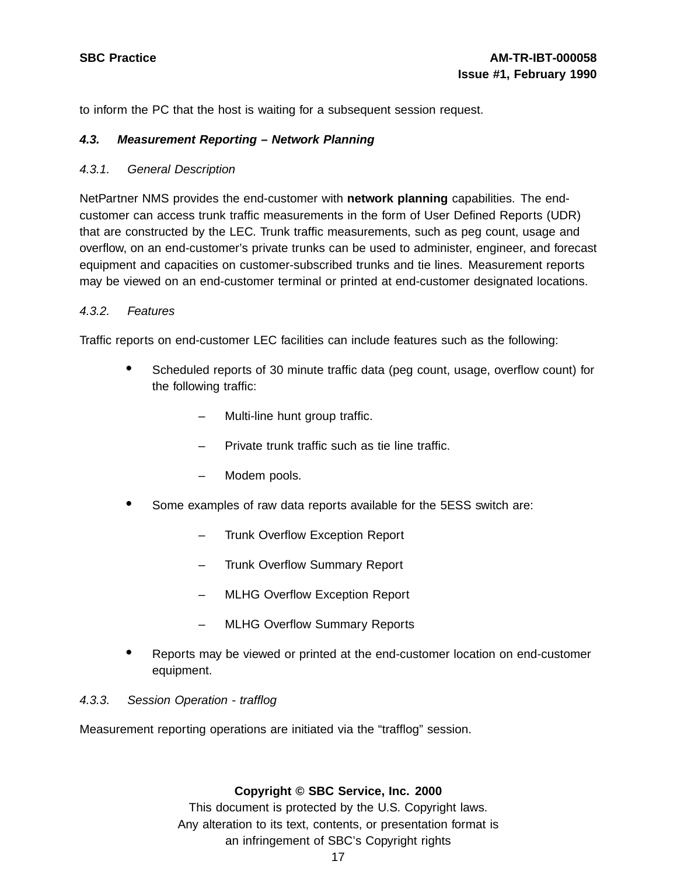to inform the PC that the host is waiting for a subsequent session request.

#### **4.3. Measurement Reporting – Network Planning**

#### 4.3.1. General Description

NetPartner NMS provides the end-customer with **network planning** capabilities. The endcustomer can access trunk traffic measurements in the form of User Defined Reports (UDR) that are constructed by the LEC. Trunk traffic measurements, such as peg count, usage and overflow, on an end-customer's private trunks can be used to administer, engineer, and forecast equipment and capacities on customer-subscribed trunks and tie lines. Measurement reports may be viewed on an end-customer terminal or printed at end-customer designated locations.

#### 4.3.2. Features

Traffic reports on end-customer LEC facilities can include features such as the following:

- Scheduled reports of <sup>30</sup> minute traffic data (peg count, usage, overflow count) for the following traffic:
	- Multi-line hunt group traffic.
	- Private trunk traffic such as tie line traffic.
	- Modem pools.
- Some examples of raw data reports available for the 5ESS switch are:
	- Trunk Overflow Exception Report
	- Trunk Overflow Summary Report
	- MLHG Overflow Exception Report
	- MLHG Overflow Summary Reports
- Reports may be viewed or printed at the end-customer location on end-customer equipment.

## 4.3.3. Session Operation - trafflog

Measurement reporting operations are initiated via the "trafflog" session.

#### **Copyright © SBC Service, Inc. 2000**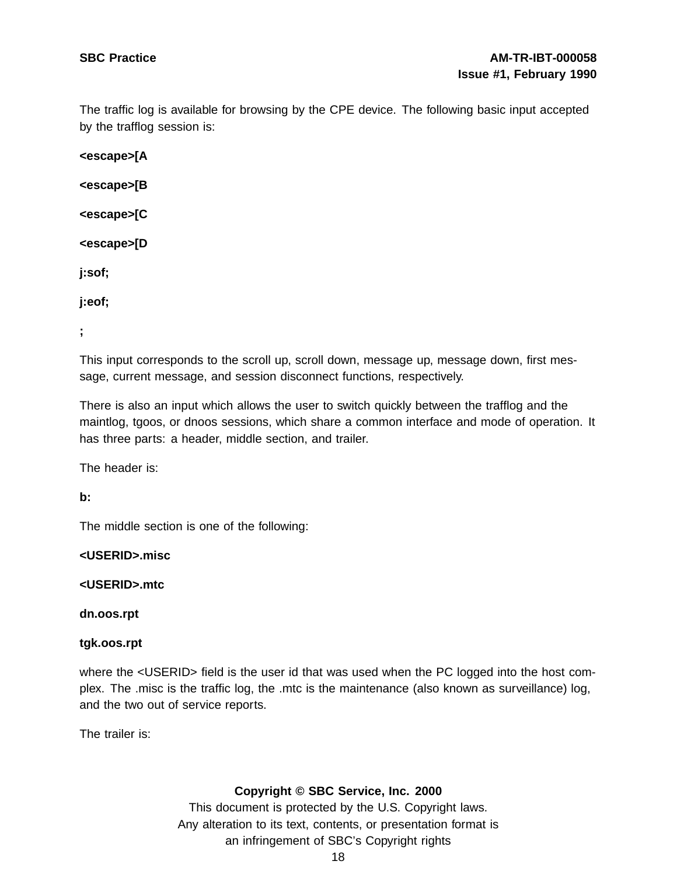The traffic log is available for browsing by the CPE device. The following basic input accepted by the trafflog session is:

**<escape>[A <escape>[B <escape>[C <escape>[D j:sof; j:eof;**

**;**

This input corresponds to the scroll up, scroll down, message up, message down, first message, current message, and session disconnect functions, respectively.

There is also an input which allows the user to switch quickly between the trafflog and the maintlog, tgoos, or dnoos sessions, which share a common interface and mode of operation. It has three parts: a header, middle section, and trailer.

The header is:

**b:**

The middle section is one of the following:

**<USERID>.misc**

**<USERID>.mtc**

**dn.oos.rpt**

## **tgk.oos.rpt**

where the <USERID> field is the user id that was used when the PC logged into the host complex. The .misc is the traffic log, the .mtc is the maintenance (also known as surveillance) log, and the two out of service reports.

The trailer is:

## **Copyright © SBC Service, Inc. 2000**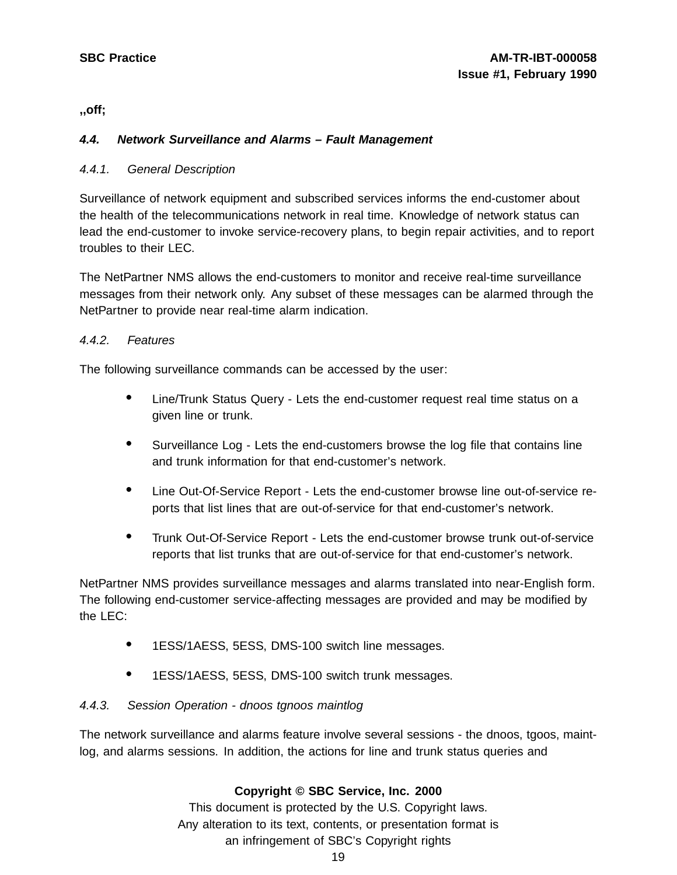**,,off;**

## **4.4. Network Surveillance and Alarms – Fault Management**

## 4.4.1. General Description

Surveillance of network equipment and subscribed services informs the end-customer about the health of the telecommunications network in real time. Knowledge of network status can lead the end-customer to invoke service-recovery plans, to begin repair activities, and to report troubles to their LEC.

The NetPartner NMS allows the end-customers to monitor and receive real-time surveillance messages from their network only. Any subset of these messages can be alarmed through the NetPartner to provide near real-time alarm indication.

## 4.4.2. Features

The following surveillance commands can be accessed by the user:

- Line/Trunk Status Query Lets the end-customer request real time status on <sup>a</sup> given line or trunk.
- Surveillance Log Lets the end-customers browse the log file that contains line and trunk information for that end-customer's network.
- Line Out-Of-Service Report Lets the end-customer browse line out-of-service reports that list lines that are out-of-service for that end-customer's network.
- Trunk Out-Of-Service Report Lets the end-customer browse trunk out-of-service reports that list trunks that are out-of-service for that end-customer's network.

NetPartner NMS provides surveillance messages and alarms translated into near-English form. The following end-customer service-affecting messages are provided and may be modified by the LEC:

- 1ESS/1AESS, 5ESS, DMS-100 switch line messages.
- 1ESS/1AESS, 5ESS, DMS-100 switch trunk messages.

## 4.4.3. Session Operation - dnoos tgnoos maintlog

The network surveillance and alarms feature involve several sessions - the dnoos, tgoos, maintlog, and alarms sessions. In addition, the actions for line and trunk status queries and

## **Copyright © SBC Service, Inc. 2000**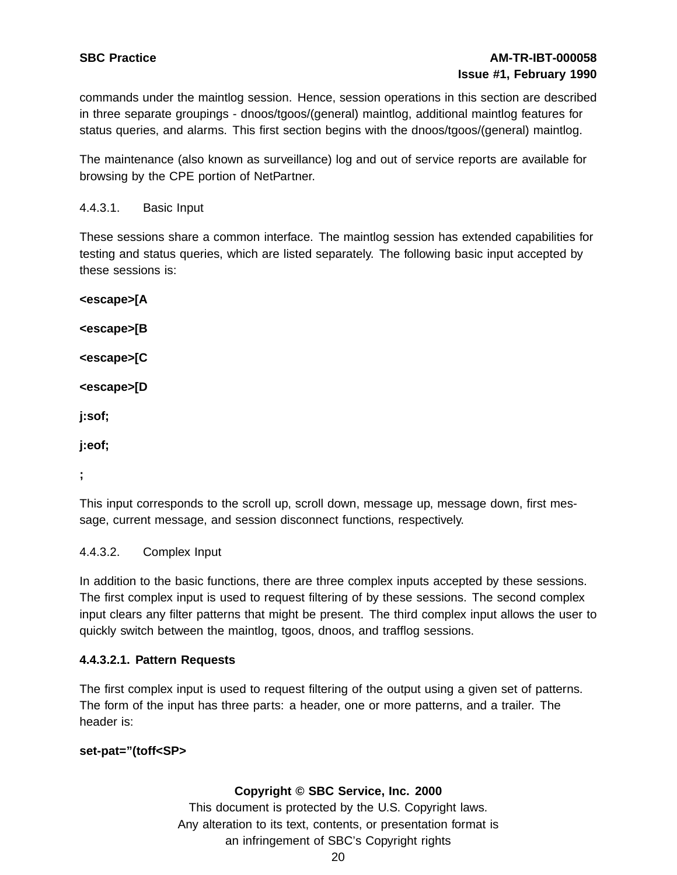commands under the maintlog session. Hence, session operations in this section are described in three separate groupings - dnoos/tgoos/(general) maintlog, additional maintlog features for status queries, and alarms. This first section begins with the dnoos/tgoos/(general) maintlog.

The maintenance (also known as surveillance) log and out of service reports are available for browsing by the CPE portion of NetPartner.

4.4.3.1. Basic Input

These sessions share a common interface. The maintlog session has extended capabilities for testing and status queries, which are listed separately. The following basic input accepted by these sessions is:

**<escape>[A <escape>[B <escape>[C <escape>[D j:sof; j:eof;**

**;**

This input corresponds to the scroll up, scroll down, message up, message down, first message, current message, and session disconnect functions, respectively.

## 4.4.3.2. Complex Input

In addition to the basic functions, there are three complex inputs accepted by these sessions. The first complex input is used to request filtering of by these sessions. The second complex input clears any filter patterns that might be present. The third complex input allows the user to quickly switch between the maintlog, tgoos, dnoos, and trafflog sessions.

## **4.4.3.2.1. Pattern Requests**

The first complex input is used to request filtering of the output using a given set of patterns. The form of the input has three parts: a header, one or more patterns, and a trailer. The header is:

## **set-pat="(toff<SP>**

## **Copyright © SBC Service, Inc. 2000**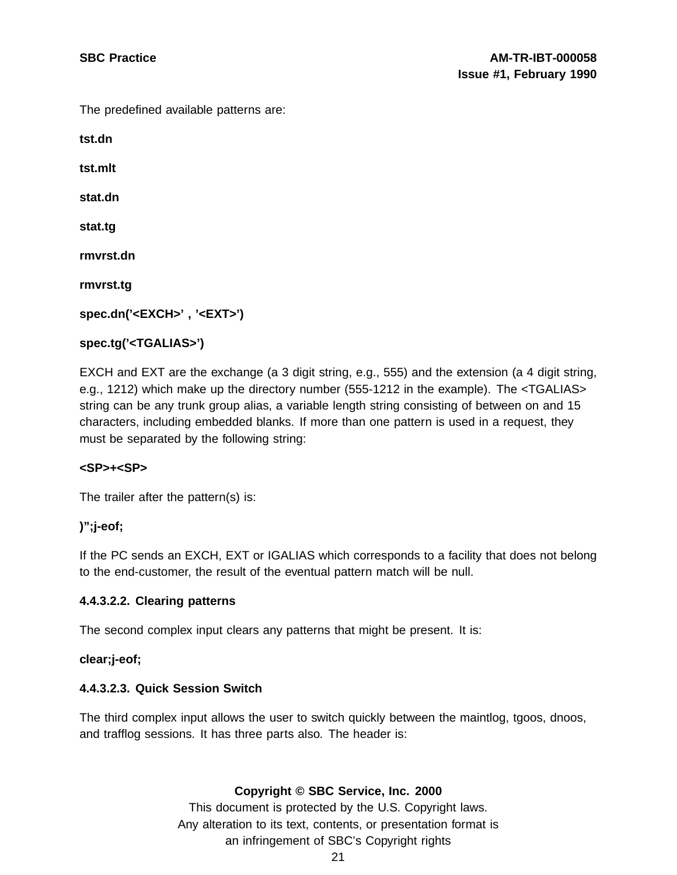The predefined available patterns are:

**tst.dn**

**tst.mlt**

**stat.dn**

**stat.tg**

**rmvrst.dn**

**rmvrst.tg**

**spec.dn('<EXCH>' , '<EXT>')**

## **spec.tg('<TGALIAS>')**

EXCH and EXT are the exchange (a 3 digit string, e.g., 555) and the extension (a 4 digit string, e.g., 1212) which make up the directory number (555-1212 in the example). The <TGALIAS> string can be any trunk group alias, a variable length string consisting of between on and 15 characters, including embedded blanks. If more than one pattern is used in a request, they must be separated by the following string:

## **<SP>+<SP>**

The trailer after the pattern(s) is:

## **)";j-eof;**

If the PC sends an EXCH, EXT or IGALIAS which corresponds to a facility that does not belong to the end-customer, the result of the eventual pattern match will be null.

## **4.4.3.2.2. Clearing patterns**

The second complex input clears any patterns that might be present. It is:

## **clear;j-eof;**

## **4.4.3.2.3. Quick Session Switch**

The third complex input allows the user to switch quickly between the maintlog, tgoos, dnoos, and trafflog sessions. It has three parts also. The header is:

## **Copyright © SBC Service, Inc. 2000**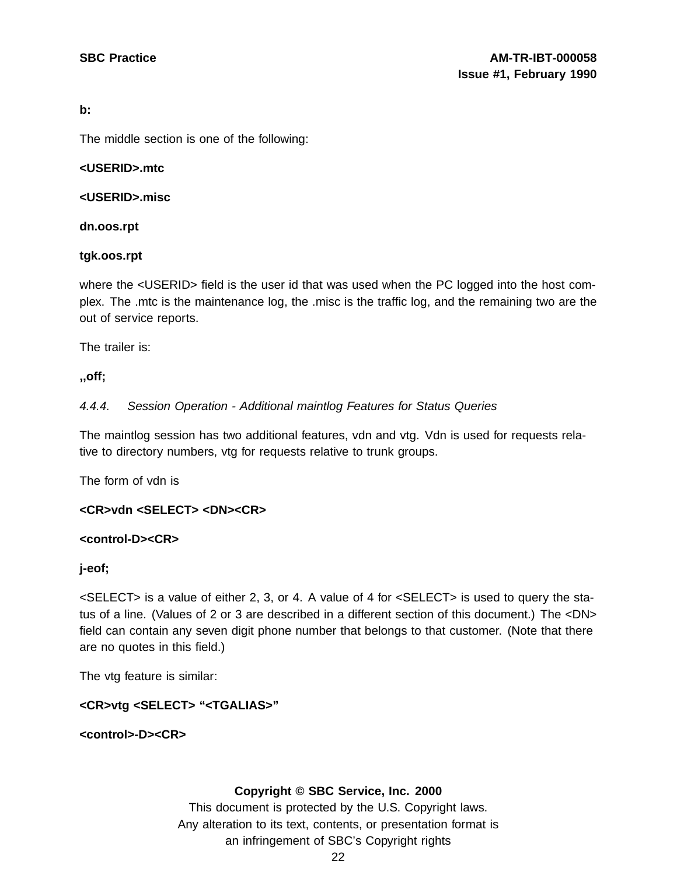**b:**

The middle section is one of the following:

#### **<USERID>.mtc**

#### **<USERID>.misc**

#### **dn.oos.rpt**

## **tgk.oos.rpt**

where the <USERID> field is the user id that was used when the PC logged into the host complex. The .mtc is the maintenance log, the .misc is the traffic log, and the remaining two are the out of service reports.

The trailer is:

**,,off;**

#### 4.4.4. Session Operation - Additional maintlog Features for Status Queries

The maintlog session has two additional features, vdn and vtg. Vdn is used for requests relative to directory numbers, vtg for requests relative to trunk groups.

The form of vdn is

## **<CR>vdn <SELECT> <DN><CR>**

## **<control-D><CR>**

## **j-eof;**

<SELECT> is a value of either 2, 3, or 4. A value of 4 for <SELECT> is used to query the status of a line. (Values of 2 or 3 are described in a different section of this document.) The <DN> field can contain any seven digit phone number that belongs to that customer. (Note that there are no quotes in this field.)

The vtg feature is similar:

## **<CR>vtg <SELECT> "<TGALIAS>"**

**<control>-D><CR>**

## **Copyright © SBC Service, Inc. 2000**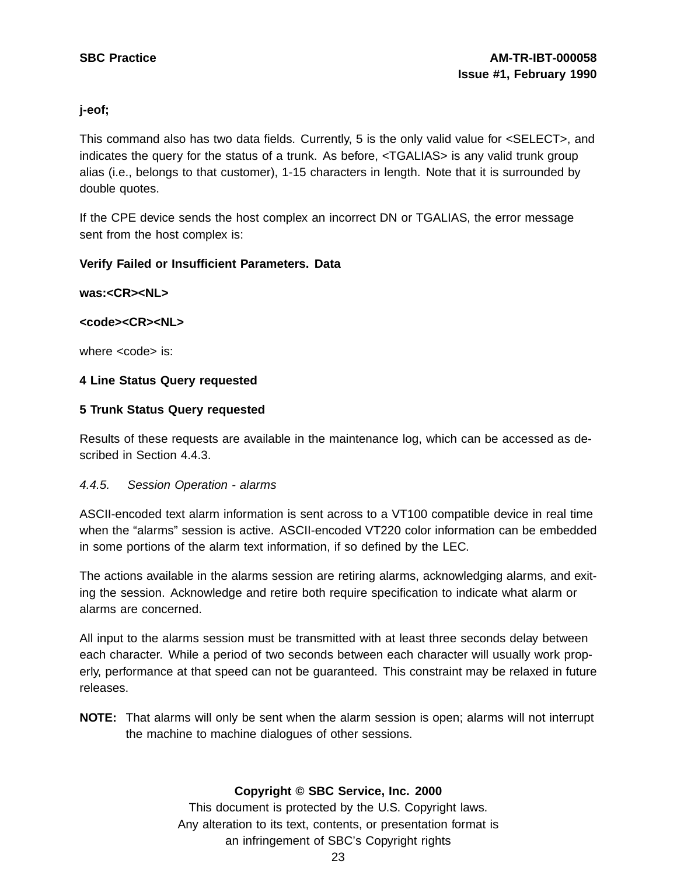## **j-eof;**

This command also has two data fields. Currently, 5 is the only valid value for <SELECT>, and indicates the query for the status of a trunk. As before, <TGALIAS> is any valid trunk group alias (i.e., belongs to that customer), 1-15 characters in length. Note that it is surrounded by double quotes.

If the CPE device sends the host complex an incorrect DN or TGALIAS, the error message sent from the host complex is:

## **Verify Failed or Insufficient Parameters. Data**

**was:<CR><NL>**

## **<code><CR><NL>**

where <code> is:

## **4 Line Status Query requested**

## **5 Trunk Status Query requested**

Results of these requests are available in the maintenance log, which can be accessed as described in Section 4.4.3.

## 4.4.5. Session Operation - alarms

ASCII-encoded text alarm information is sent across to a VT100 compatible device in real time when the "alarms" session is active. ASCII-encoded VT220 color information can be embedded in some portions of the alarm text information, if so defined by the LEC.

The actions available in the alarms session are retiring alarms, acknowledging alarms, and exiting the session. Acknowledge and retire both require specification to indicate what alarm or alarms are concerned.

All input to the alarms session must be transmitted with at least three seconds delay between each character. While a period of two seconds between each character will usually work properly, performance at that speed can not be guaranteed. This constraint may be relaxed in future releases.

**NOTE:** That alarms will only be sent when the alarm session is open; alarms will not interrupt the machine to machine dialogues of other sessions.

## **Copyright © SBC Service, Inc. 2000**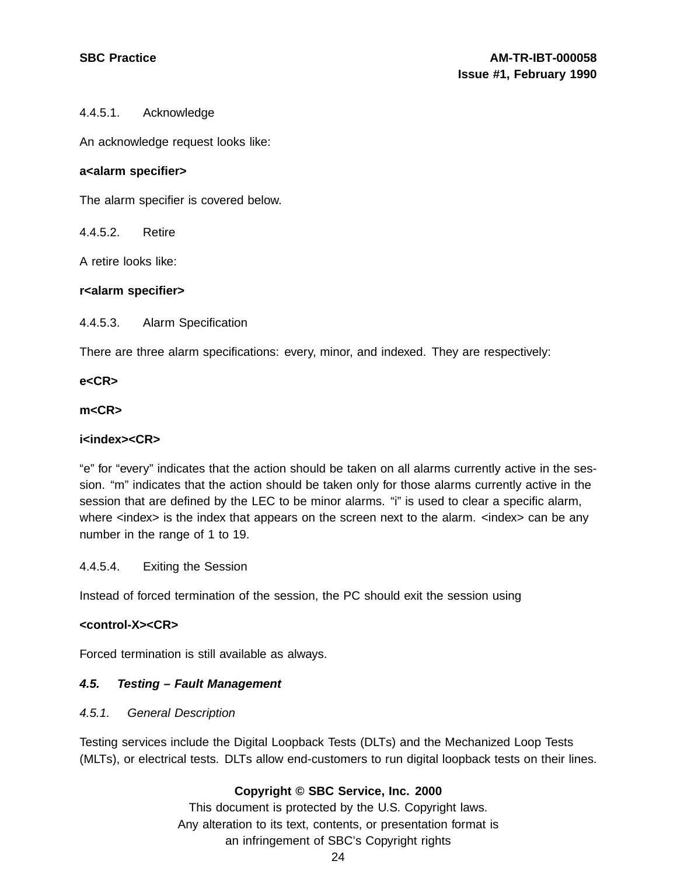## 4.4.5.1. Acknowledge

An acknowledge request looks like:

#### **a<alarm specifier>**

The alarm specifier is covered below.

4.4.5.2. Retire

A retire looks like:

#### **r<alarm specifier>**

4.4.5.3. Alarm Specification

There are three alarm specifications: every, minor, and indexed. They are respectively:

#### **e<CR>**

#### **m<CR>**

## **i<index><CR>**

"e" for "every" indicates that the action should be taken on all alarms currently active in the session. "m" indicates that the action should be taken only for those alarms currently active in the session that are defined by the LEC to be minor alarms. "i" is used to clear a specific alarm, where  $\leq$  index is the index that appears on the screen next to the alarm.  $\leq$  index  $\geq$  can be any number in the range of 1 to 19.

## 4.4.5.4. Exiting the Session

Instead of forced termination of the session, the PC should exit the session using

## **<control-X><CR>**

Forced termination is still available as always.

## **4.5. Testing – Fault Management**

## 4.5.1. General Description

Testing services include the Digital Loopback Tests (DLTs) and the Mechanized Loop Tests (MLTs), or electrical tests. DLTs allow end-customers to run digital loopback tests on their lines.

## **Copyright © SBC Service, Inc. 2000**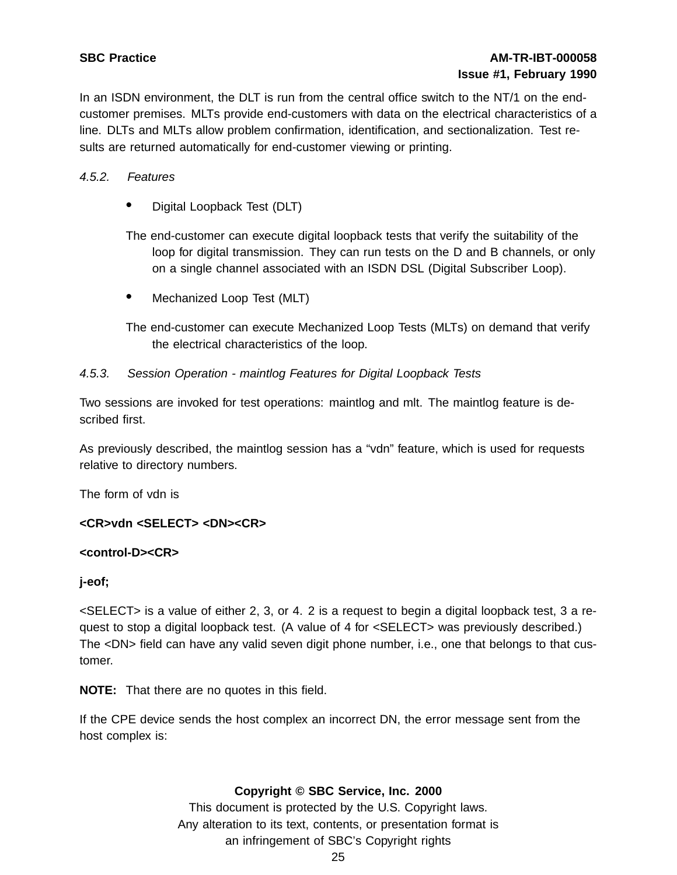In an ISDN environment, the DLT is run from the central office switch to the NT/1 on the endcustomer premises. MLTs provide end-customers with data on the electrical characteristics of a line. DLTs and MLTs allow problem confirmation, identification, and sectionalization. Test results are returned automatically for end-customer viewing or printing.

## 4.5.2. Features

• Digital Loopback Test (DLT)

The end-customer can execute digital loopback tests that verify the suitability of the loop for digital transmission. They can run tests on the D and B channels, or only on a single channel associated with an ISDN DSL (Digital Subscriber Loop).

• Mechanized Loop Test (MLT)

The end-customer can execute Mechanized Loop Tests (MLTs) on demand that verify the electrical characteristics of the loop.

## 4.5.3. Session Operation - maintlog Features for Digital Loopback Tests

Two sessions are invoked for test operations: maintlog and mlt. The maintlog feature is described first.

As previously described, the maintlog session has a "vdn" feature, which is used for requests relative to directory numbers.

The form of vdn is

## **<CR>vdn <SELECT> <DN><CR>**

## **<control-D><CR>**

**j-eof;**

<SELECT> is a value of either 2, 3, or 4. 2 is a request to begin a digital loopback test, 3 a request to stop a digital loopback test. (A value of 4 for <SELECT> was previously described.) The <DN> field can have any valid seven digit phone number, i.e., one that belongs to that customer.

**NOTE:** That there are no quotes in this field.

If the CPE device sends the host complex an incorrect DN, the error message sent from the host complex is:

## **Copyright © SBC Service, Inc. 2000**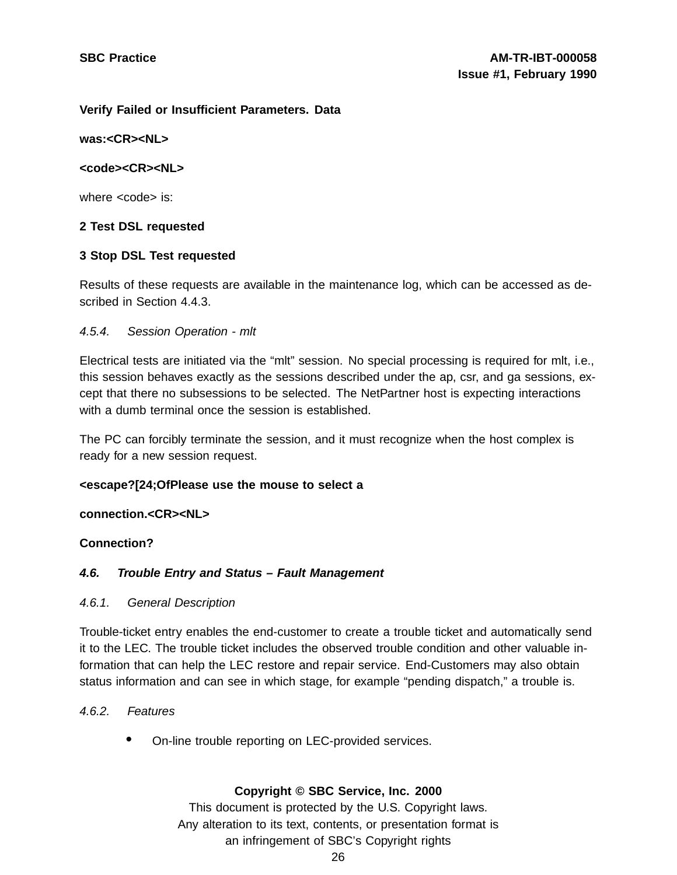## **Verify Failed or Insufficient Parameters. Data**

**was:<CR><NL>**

## **<code><CR><NL>**

where <code> is:

## **2 Test DSL requested**

## **3 Stop DSL Test requested**

Results of these requests are available in the maintenance log, which can be accessed as described in Section 4.4.3.

#### 4.5.4. Session Operation - mlt

Electrical tests are initiated via the "mlt" session. No special processing is required for mlt, i.e., this session behaves exactly as the sessions described under the ap, csr, and ga sessions, except that there no subsessions to be selected. The NetPartner host is expecting interactions with a dumb terminal once the session is established.

The PC can forcibly terminate the session, and it must recognize when the host complex is ready for a new session request.

## **<escape?[24;OfPlease use the mouse to select a**

#### **connection.<CR><NL>**

## **Connection?**

## **4.6. Trouble Entry and Status – Fault Management**

## 4.6.1. General Description

Trouble-ticket entry enables the end-customer to create a trouble ticket and automatically send it to the LEC. The trouble ticket includes the observed trouble condition and other valuable information that can help the LEC restore and repair service. End-Customers may also obtain status information and can see in which stage, for example "pending dispatch," a trouble is.

## 4.6.2. Features

• On-line trouble reporting on LEC-provided services.

## **Copyright © SBC Service, Inc. 2000**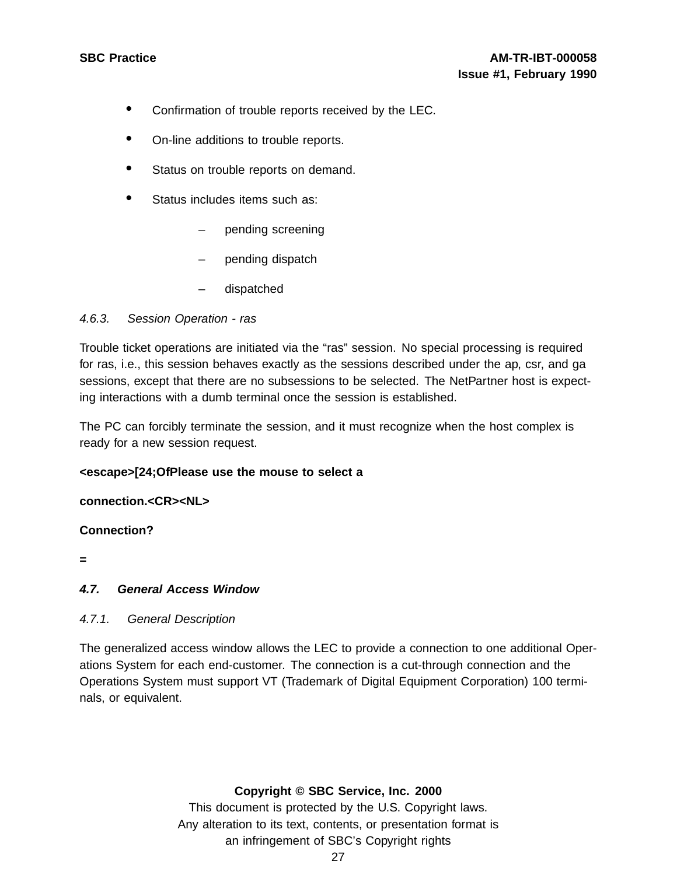- Confirmation of trouble reports received by the LEC.
- On-line additions to trouble reports.
- Status on trouble reports on demand.
- Status includes items such as:
	- pending screening
	- pending dispatch
	- dispatched

#### 4.6.3. Session Operation - ras

Trouble ticket operations are initiated via the "ras" session. No special processing is required for ras, i.e., this session behaves exactly as the sessions described under the ap, csr, and ga sessions, except that there are no subsessions to be selected. The NetPartner host is expecting interactions with a dumb terminal once the session is established.

The PC can forcibly terminate the session, and it must recognize when the host complex is ready for a new session request.

#### **<escape>[24;OfPlease use the mouse to select a**

#### **connection.<CR><NL>**

## **Connection?**

**=**

## **4.7. General Access Window**

## 4.7.1. General Description

The generalized access window allows the LEC to provide a connection to one additional Operations System for each end-customer. The connection is a cut-through connection and the Operations System must support VT (Trademark of Digital Equipment Corporation) 100 terminals, or equivalent.

## **Copyright © SBC Service, Inc. 2000**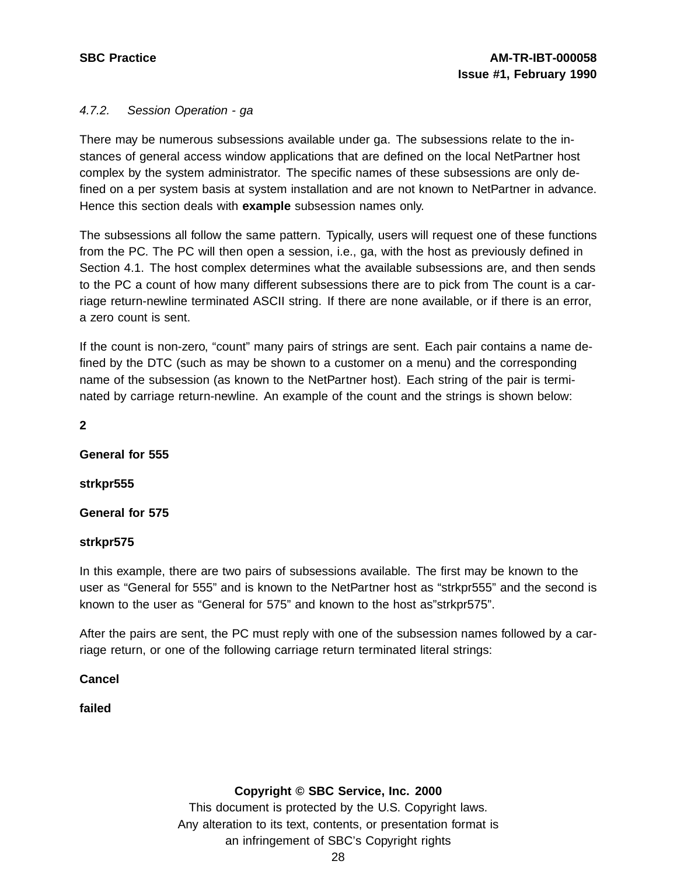## 4.7.2. Session Operation - ga

There may be numerous subsessions available under ga. The subsessions relate to the instances of general access window applications that are defined on the local NetPartner host complex by the system administrator. The specific names of these subsessions are only defined on a per system basis at system installation and are not known to NetPartner in advance. Hence this section deals with **example** subsession names only.

The subsessions all follow the same pattern. Typically, users will request one of these functions from the PC. The PC will then open a session, i.e., ga, with the host as previously defined in Section 4.1. The host complex determines what the available subsessions are, and then sends to the PC a count of how many different subsessions there are to pick from The count is a carriage return-newline terminated ASCII string. If there are none available, or if there is an error, a zero count is sent.

If the count is non-zero, "count" many pairs of strings are sent. Each pair contains a name defined by the DTC (such as may be shown to a customer on a menu) and the corresponding name of the subsession (as known to the NetPartner host). Each string of the pair is terminated by carriage return-newline. An example of the count and the strings is shown below:

**2**

**General for 555**

**strkpr555**

**General for 575**

## **strkpr575**

In this example, there are two pairs of subsessions available. The first may be known to the user as "General for 555" and is known to the NetPartner host as "strkpr555" and the second is known to the user as "General for 575" and known to the host as"strkpr575".

After the pairs are sent, the PC must reply with one of the subsession names followed by a carriage return, or one of the following carriage return terminated literal strings:

**Cancel**

**failed**

**Copyright © SBC Service, Inc. 2000**